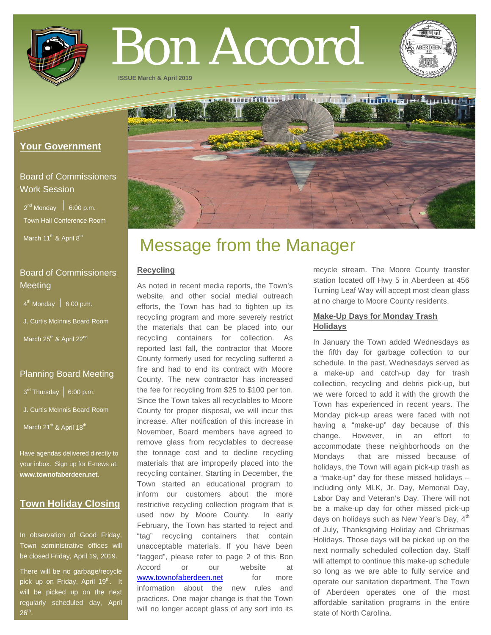

# Bon Accord

**ISSUE March & April 2019**

## **Your Government**

# Board of Commissioners Work Session

 $2^{nd}$  Monday  $\Big|$  6:00 p.m. Town Hall Conference Room

March 11<sup>th</sup> & April 8<sup>th</sup>

# Board of Commissioners **Meeting**

 $4<sup>th</sup>$  Monday  $\Big|$  6:00 p.m.

J. Curtis McInnis Board Room

March 25<sup>th</sup> & April 22<sup>nd</sup>

## Planning Board Meeting

 $3^{rd}$  Thursday | 6:00 p.m.

J. Curtis McInnis Board Room

March 21<sup>st</sup> & April 18<sup>th</sup>

Have agendas delivered directly to your inbox. Sign up for E-news at: **[www.townofaberdeen.net](http://www.townofaberdeen.net/)**.

## **Town Holiday Closing**

In observation of Good Friday, Town administrative offices will be closed Friday, April 19, 2019.

There will be no garbage/recycle pick up on Friday, April 19<sup>th</sup>. It will be picked up on the next regularly scheduled day, April  $26<sup>th</sup>$ .



## **Recycling**

As noted in recent media reports, the Town's website, and other social medial outreach efforts, the Town has had to tighten up its recycling program and more severely restrict the materials that can be placed into our recycling containers for collection. As reported last fall, the contractor that Moore County formerly used for recycling suffered a fire and had to end its contract with Moore County. The new contractor has increased the fee for recycling from \$25 to \$100 per ton. Since the Town takes all recyclables to Moore County for proper disposal, we will incur this increase. After notification of this increase in November, Board members have agreed to remove glass from recyclables to decrease the tonnage cost and to decline recycling materials that are improperly placed into the recycling container. Starting in December, the Town started an educational program to inform our customers about the more restrictive recycling collection program that is used now by Moore County. In early February, the Town has started to reject and "tag" recycling containers that contain unacceptable materials. If you have been "tagged", please refer to page 2 of this Bon Accord or our website at [www.townofaberdeen.net](http://www.townofaberdeen.net/) for more information about the new rules and practices. One major change is that the Town will no longer accept glass of any sort into its

recycle stream. The Moore County transfer station located off Hwy 5 in Aberdeen at 456 Turning Leaf Way will accept most clean glass at no charge to Moore County residents.

## **Make-Up Days for Monday Trash Holidays**

In January the Town added Wednesdays as the fifth day for garbage collection to our schedule. In the past, Wednesdays served as a make-up and catch-up day for trash collection, recycling and debris pick-up, but we were forced to add it with the growth the Town has experienced in recent years. The Monday pick-up areas were faced with not having a "make-up" day because of this change. However, in an effort to accommodate these neighborhoods on the Mondays that are missed because of holidays, the Town will again pick-up trash as a "make-up" day for these missed holidays – including only MLK, Jr. Day, Memorial Day, Labor Day and Veteran's Day. There will not be a make-up day for other missed pick-up days on holidays such as New Year's Day,  $4<sup>th</sup>$ of July, Thanksgiving Holiday and Christmas Holidays. Those days will be picked up on the next normally scheduled collection day. Staff will attempt to continue this make-up schedule so long as we are able to fully service and operate our sanitation department. The Town of Aberdeen operates one of the most affordable sanitation programs in the entire state of North Carolina.